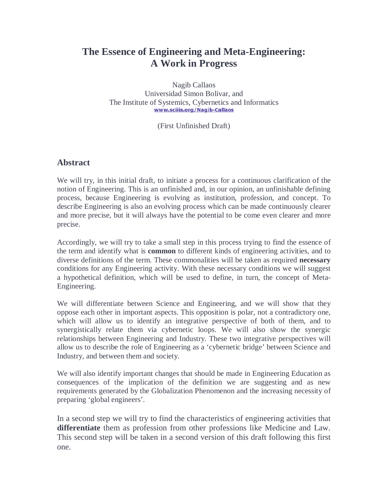# **The Essence of Engineering and Meta-Engineering: A Work in Progress**

Nagib Callaos Universidad Simon Bolivar, and The Institute of Systemics, Cybernetics and Informatics www.sciiis.org/Nagib-Callaos

(First Unfinished Draft)

#### **Abstract**

We will try, in this initial draft, to initiate a process for a continuous clarification of the notion of Engineering. This is an unfinished and, in our opinion, an unfinishable defining process, because Engineering is evolving as institution, profession, and concept. To describe Engineering is also an evolving process which can be made continuously clearer and more precise, but it will always have the potential to be come even clearer and more precise.

Accordingly, we will try to take a small step in this process trying to find the essence of the term and identify what is **common** to different kinds of engineering activities, and to diverse definitions of the term. These commonalities will be taken as required **necessary** conditions for any Engineering activity. With these necessary conditions we will suggest a hypothetical definition, which will be used to define, in turn, the concept of Meta-Engineering.

We will differentiate between Science and Engineering, and we will show that they oppose each other in important aspects. This opposition is polar, not a contradictory one, which will allow us to identify an integrative perspective of both of them, and to synergistically relate them via cybernetic loops. We will also show the synergic relationships between Engineering and Industry. These two integrative perspectives will allow us to describe the role of Engineering as a 'cybernetic bridge' between Science and Industry, and between them and society.

We will also identify important changes that should be made in Engineering Education as consequences of the implication of the definition we are suggesting and as new requirements generated by the Globalization Phenomenon and the increasing necessity of preparing 'global engineers'.

In a second step we will try to find the characteristics of engineering activities that **differentiate** them as profession from other professions like Medicine and Law. This second step will be taken in a second version of this draft following this first one.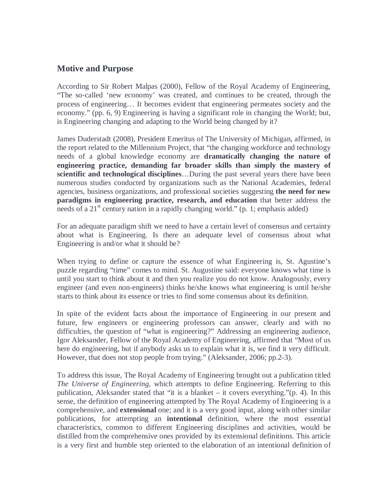### **Motive and Purpose**

According to Sir Robert Malpas (2000), Fellow of the Royal Academy of Engineering, "The so-called 'new economy' was created, and continues to be created, through the process of engineering… It becomes evident that engineering permeates society and the economy." (pp. 6, 9) Engineering is having a significant role in changing the World; but, is Engineering changing and adapting to the World being changed by it?

James Duderstadt (2008), President Emeritus of The University of Michigan, affirmed, in the report related to the Millennium Project, that "the changing workforce and technology needs of a global knowledge economy are **dramatically changing the nature of engineering practice, demanding far broader skills than simply the mastery of scientific and technological disciplines**…During the past several years there have been numerous studies conducted by organizations such as the National Academies, federal agencies, business organizations, and professional societies suggesting **the need for new paradigms in engineering practice, research, and education** that better address the needs of a 21<sup>st</sup> century nation in a rapidly changing world." (p. 1; emphasis added)

For an adequate paradigm shift we need to have a certain level of consensus and certainty about what is Engineering. Is there an adequate level of consensus about what Engineering is and/or what it should be?

When trying to define or capture the essence of what Engineering is, St. Agustine's puzzle regarding "time" comes to mind. St. Augustine said: everyone knows what time is until you start to think about it and then you realize you do not know. Analogously, every engineer (and even non-engineers) thinks he/she knows what engineering is until he/she starts to think about its essence or tries to find some consensus about its definition.

In spite of the evident facts about the importance of Engineering in our present and future, few engineers or engineering professors can answer, clearly and with no difficulties, the question of "what is engineering?" Addressing an engineering audience, Igor Aleksander, Fellow of the Royal Academy of Engineering, affirmed that "Most of us here do engineering, but if anybody asks us to explain what it is, we find it very difficult. However, that does not stop people from trying." (Aleksander, 2006; pp.2-3).

To address this issue, The Royal Academy of Engineering brought out a publication titled *The Universe of Engineering*, which attempts to define Engineering. Referring to this publication, Aleksander stated that "it is a blanket – it covers everything." $(p, 4)$ . In this sense, the definition of engineering attempted by The Royal Academy of Engineering is a comprehensive, and **extensional** one; and it is a very good input, along with other similar publications, for attempting an **intentional** definition, where the most essential characteristics, common to different Engineering disciplines and activities, would be distilled from the comprehensive ones provided by its extensional definitions. This article is a very first and humble step oriented to the elaboration of an intentional definition of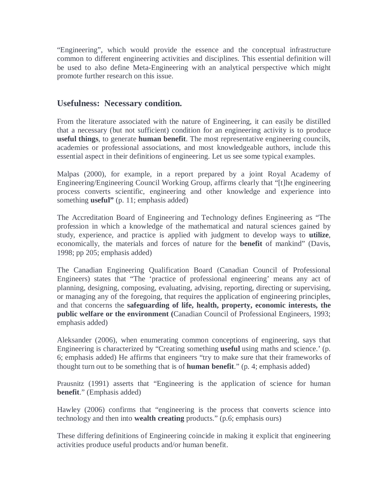"Engineering", which would provide the essence and the conceptual infrastructure common to different engineering activities and disciplines. This essential definition will be used to also define Meta-Engineering with an analytical perspective which might promote further research on this issue.

# **Usefulness: Necessary condition.**

From the literature associated with the nature of Engineering, it can easily be distilled that a necessary (but not sufficient) condition for an engineering activity is to produce **useful things**, to generate **human benefit**. The most representative engineering councils, academies or professional associations, and most knowledgeable authors, include this essential aspect in their definitions of engineering. Let us see some typical examples.

Malpas (2000), for example, in a report prepared by a joint Royal Academy of Engineering/Engineering Council Working Group, affirms clearly that "[t]he engineering process converts scientific, engineering and other knowledge and experience into something **useful**" (p. 11; emphasis added)

The Accreditation Board of Engineering and Technology defines Engineering as "The profession in which a knowledge of the mathematical and natural sciences gained by study, experience, and practice is applied with judgment to develop ways to **utilize**, economically, the materials and forces of nature for the **benefit** of mankind" (Davis, 1998; pp 205; emphasis added)

The Canadian Engineering Qualification Board (Canadian Council of Professional Engineers) states that "The 'practice of professional engineering' means any act of planning, designing, composing, evaluating, advising, reporting, directing or supervising, or managing any of the foregoing, that requires the application of engineering principles, and that concerns the **safeguarding of life, health, property, economic interests, the public welfare or the environment (**Canadian Council of Professional Engineers, 1993; emphasis added)

Aleksander (2006), when enumerating common conceptions of engineering, says that Engineering is characterized by "Creating something **useful** using maths and science.' (p. 6; emphasis added) He affirms that engineers "try to make sure that their frameworks of thought turn out to be something that is of **human benefit**." (p. 4; emphasis added)

Prausnitz (1991) asserts that "Engineering is the application of science for human **benefit**." (Emphasis added)

Hawley (2006) confirms that "engineering is the process that converts science into technology and then into **wealth creating** products." (p.6; emphasis ours)

These differing definitions of Engineering coincide in making it explicit that engineering activities produce useful products and/or human benefit.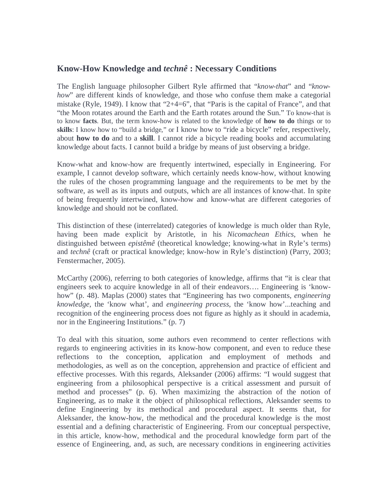### **Know-How Knowledge and** *technê* **: Necessary Conditions**

The English language philosopher Gilbert Ryle affirmed that "*know-that*" and "*knowhow*" are different kinds of knowledge, and those who confuse them make a categorial mistake (Ryle, 1949). I know that "2+4=6", that "Paris is the capital of France", and that "the Moon rotates around the Earth and the Earth rotates around the Sun." To know-that is to know **facts**. But, the term know-how is related to the knowledge of **how to do** things or to skills: I know how to "build a bridge," or I know how to "ride a bicycle" refer, respectively, about **how to do** and to a **skill**. I cannot ride a bicycle reading books and accumulating knowledge about facts. I cannot build a bridge by means of just observing a bridge.

Know-what and know-how are frequently intertwined, especially in Engineering. For example, I cannot develop software, which certainly needs know-how, without knowing the rules of the chosen programming language and the requirements to be met by the software, as well as its inputs and outputs, which are all instances of know-that. In spite of being frequently intertwined, know-how and know-what are different categories of knowledge and should not be conflated.

This distinction of these (interrelated) categories of knowledge is much older than Ryle, having been made explicit by Aristotle, in his *Nicomachean Ethics*, when he distinguished between *epistêmê* (theoretical knowledge; knowing-what in Ryle's terms) and *technê* (craft or practical knowledge; know-how in Ryle's distinction) (Parry, 2003; Fenstermacher, 2005).

McCarthy (2006), referring to both categories of knowledge, affirms that "it is clear that engineers seek to acquire knowledge in all of their endeavors…. Engineering is 'knowhow" (p. 48). Maplas (2000) states that "Engineering has two components, *engineering knowledge*, the 'know what', and *engineering process*, the 'know how'...teaching and recognition of the engineering process does not figure as highly as it should in academia, nor in the Engineering Institutions." (p. 7)

To deal with this situation, some authors even recommend to center reflections with regards to engineering activities in its know-how component, and even to reduce these reflections to the conception, application and employment of methods and methodologies, as well as on the conception, apprehension and practice of efficient and effective processes. With this regards, Aleksander (2006) affirms: "I would suggest that engineering from a philosophical perspective is a critical assessment and pursuit of method and processes" (p. 6). When maximizing the abstraction of the notion of Engineering, as to make it the object of philosophical reflections, Aleksander seems to define Engineering by its methodical and procedural aspect. It seems that, for Aleksander, the know-how, the methodical and the procedural knowledge is the most essential and a defining characteristic of Engineering. From our conceptual perspective, in this article, know-how, methodical and the procedural knowledge form part of the essence of Engineering, and, as such, are necessary conditions in engineering activities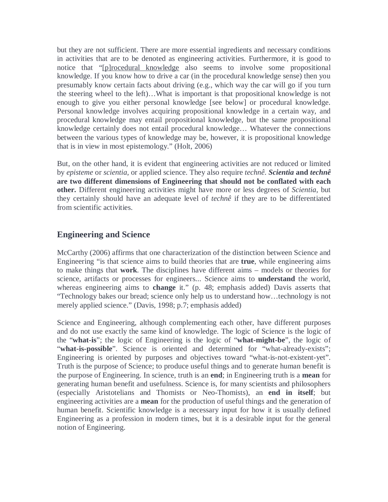but they are not sufficient. There are more essential ingredients and necessary conditions in activities that are to be denoted as engineering activities. Furthermore, it is good to notice that "[p]rocedural knowledge also seems to involve some propositional knowledge. If you know how to drive a car (in the procedural knowledge sense) then you presumably know certain facts about driving (e.g., which way the car will go if you turn the steering wheel to the left)…What is important is that propositional knowledge is not enough to give you either personal knowledge [see below] or procedural knowledge. Personal knowledge involves acquiring propositional knowledge in a certain way, and procedural knowledge may entail propositional knowledge, but the same propositional knowledge certainly does not entail procedural knowledge… Whatever the connections between the various types of knowledge may be, however, it is propositional knowledge that is in view in most epistemology." (Holt, 2006)

But, on the other hand, it is evident that engineering activities are not reduced or limited by *episteme* or *scientia*, or applied science. They also require *technê*. *Scientia* **and** *technê* **are two different dimensions of Engineering that should not be conflated with each other.** Different engineering activities might have more or less degrees of *Scientia*, but they certainly should have an adequate level of *technê* if they are to be differentiated from scientific activities.

# **Engineering and Science**

McCarthy (2006) affirms that one characterization of the distinction between Science and Engineering "is that science aims to build theories that are **true**, while engineering aims to make things that **work**. The disciplines have different aims – models or theories for science, artifacts or processes for engineers... Science aims to **understand** the world, whereas engineering aims to **change** it." (p. 48; emphasis added) Davis asserts that "Technology bakes our bread; science only help us to understand how…technology is not merely applied science." (Davis, 1998; p.7; emphasis added)

Science and Engineering, although complementing each other, have different purposes and do not use exactly the same kind of knowledge. The logic of Science is the logic of the "**what-is**"; the logic of Engineering is the logic of "**what-might-be**", the logic of "what-is-possible". Science is oriented and determined for "what-already-exists"; Engineering is oriented by purposes and objectives toward "what-is-not-existent-yet". Truth is the purpose of Science; to produce useful things and to generate human benefit is the purpose of Engineering. In science, truth is an **end**; in Engineering truth is a **mean** for generating human benefit and usefulness. Science is, for many scientists and philosophers (especially Aristotelians and Thomists or Neo-Thomists), an **end in itself**; but engineering activities are a **mean** for the production of useful things and the generation of human benefit. Scientific knowledge is a necessary input for how it is usually defined Engineering as a profession in modern times, but it is a desirable input for the general notion of Engineering.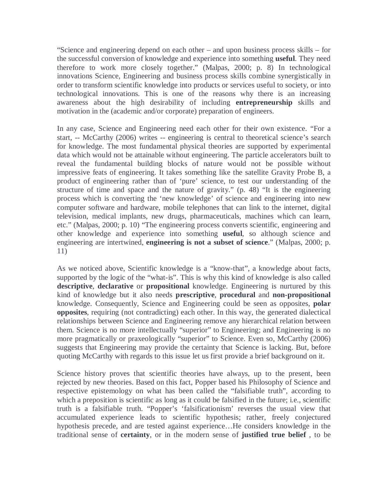"Science and engineering depend on each other – and upon business process skills – for the successful conversion of knowledge and experience into something **useful**. They need therefore to work more closely together." (Malpas, 2000; p. 8) In technological innovations Science, Engineering and business process skills combine synergistically in order to transform scientific knowledge into products or services useful to society, or into technological innovations. This is one of the reasons why there is an increasing awareness about the high desirability of including **entrepreneurship** skills and motivation in the (academic and/or corporate) preparation of engineers.

In any case, Science and Engineering need each other for their own existence. "For a start, -- McCarthy (2006) writes -- engineering is central to theoretical science's search for knowledge. The most fundamental physical theories are supported by experimental data which would not be attainable without engineering. The particle accelerators built to reveal the fundamental building blocks of nature would not be possible without impressive feats of engineering. It takes something like the satellite Gravity Probe B, a product of engineering rather than of 'pure' science, to test our understanding of the structure of time and space and the nature of gravity." (p. 48) "It is the engineering process which is converting the 'new knowledge' of science and engineering into new computer software and hardware, mobile telephones that can link to the internet, digital television, medical implants, new drugs, pharmaceuticals, machines which can learn, etc." (Malpas, 2000; p. 10) "The engineering process converts scientific, engineering and other knowledge and experience into something **useful**, so although science and engineering are intertwined, **engineering is not a subset of science**." (Malpas, 2000; p. 11)

As we noticed above, Scientific knowledge is a "know-that", a knowledge about facts, supported by the logic of the "what-is". This is why this kind of knowledge is also called **descriptive**, **declarative** or **propositional** knowledge. Engineering is nurtured by this kind of knowledge but it also needs **prescriptive**, **procedural** and **non-propositional** knowledge. Consequently, Science and Engineering could be seen as opposites, **polar opposites**, requiring (not contradicting) each other. In this way, the generated dialectical relationships between Science and Engineering remove any hierarchical relation between them. Science is no more intellectually "superior" to Engineering; and Engineering is no more pragmatically or praxeologically "superior" to Science. Even so, McCarthy (2006) suggests that Engineering may provide the certainty that Science is lacking. But, before quoting McCarthy with regards to this issue let us first provide a brief background on it.

Science history proves that scientific theories have always, up to the present, been rejected by new theories. Based on this fact, Popper based his Philosophy of Science and respective epistemology on what has been called the "falsifiable truth", according to which a preposition is scientific as long as it could be falsified in the future; i.e., scientific truth is a falsifiable truth. "Popper's 'falsificationism' reverses the usual view that accumulated experience leads to scientific hypothesis; rather, freely conjectured hypothesis precede, and are tested against experience…He considers knowledge in the traditional sense of **certainty**, or in the modern sense of **justified true belief** , to be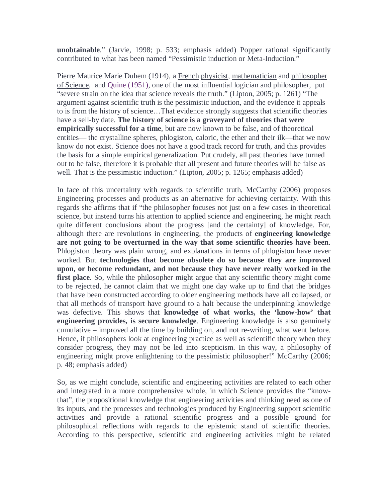**unobtainable**." (Jarvie, 1998; p. 533; emphasis added) Popper rational significantly contributed to what has been named "Pessimistic induction or Meta-Induction."

Pierre Maurice Marie Duhem (1914), a French physicist, mathematician and philosopher of Science, and Quine (1951), one of the most influential logician and philosopher, put "severe strain on the idea that science reveals the truth." (Lipton, 2005; p. 1261) "The argument against scientific truth is the pessimistic induction, and the evidence it appeals to is from the history of science…That evidence strongly suggests that scientific theories have a sell-by date. **The history of science is a graveyard of theories that were empirically successful for a time**, but are now known to be false, and of theoretical entities— the crystalline spheres, phlogiston, caloric, the ether and their ilk—that we now know do not exist. Science does not have a good track record for truth, and this provides the basis for a simple empirical generalization. Put crudely, all past theories have turned out to be false, therefore it is probable that all present and future theories will be false as well. That is the pessimistic induction." (Lipton, 2005; p. 1265; emphasis added)

In face of this uncertainty with regards to scientific truth, McCarthy (2006) proposes Engineering processes and products as an alternative for achieving certainty. With this regards she affirms that if "the philosopher focuses not just on a few cases in theoretical science, but instead turns his attention to applied science and engineering, he might reach quite different conclusions about the progress [and the certainty] of knowledge. For, although there are revolutions in engineering, the products of **engineering knowledge are not going to be overturned in the way that some scientific theories have been**. Phlogiston theory was plain wrong, and explanations in terms of phlogiston have never worked. But **technologies that become obsolete do so because they are improved upon, or become redundant, and not because they have never really worked in the**  first place. So, while the philosopher might argue that any scientific theory might come to be rejected, he cannot claim that we might one day wake up to find that the bridges that have been constructed according to older engineering methods have all collapsed, or that all methods of transport have ground to a halt because the underpinning knowledge was defective. This shows that **knowledge of what works, the 'know-how' that engineering provides, is secure knowledge**. Engineering knowledge is also genuinely cumulative – improved all the time by building on, and not re-writing, what went before. Hence, if philosophers look at engineering practice as well as scientific theory when they consider progress, they may not be led into scepticism. In this way, a philosophy of engineering might prove enlightening to the pessimistic philosopher!" McCarthy (2006; p. 48; emphasis added)

So, as we might conclude, scientific and engineering activities are related to each other and integrated in a more comprehensive whole, in which Science provides the "knowthat", the propositional knowledge that engineering activities and thinking need as one of its inputs, and the processes and technologies produced by Engineering support scientific activities and provide a rational scientific progress and a possible ground for philosophical reflections with regards to the epistemic stand of scientific theories. According to this perspective, scientific and engineering activities might be related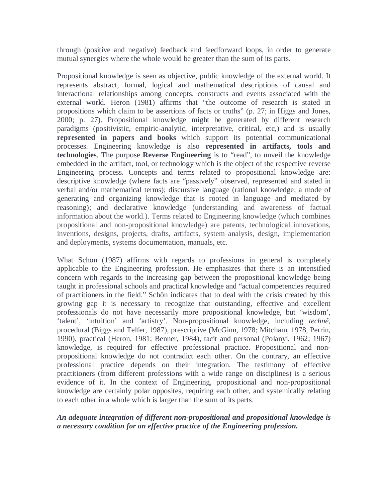through (positive and negative) feedback and feedforward loops, in order to generate mutual synergies where the whole would be greater than the sum of its parts.

Propositional knowledge is seen as objective, public knowledge of the external world. It represents abstract, formal, logical and mathematical descriptions of causal and interactional relationships among concepts, constructs and events associated with the external world. Heron (1981) affirms that "the outcome of research is stated in propositions which claim to be assertions of facts or truths" (p. 27; in Higgs and Jones, 2000; p. 27). Propositional knowledge might be generated by different research paradigms (positivistic, empiric-analytic, interpretative, critical, etc,) and is usually **represented in papers and books** which support its potential communicational processes. Engineering knowledge is also **represented in artifacts, tools and technologies**. The purpose **Reverse Engineering** is to "read", to unveil the knowledge embedded in the artifact, tool, or technology which is the object of the respective reverse Engineering process. Concepts and terms related to propositional knowledge are: descriptive knowledge (where facts are "passively" observed, represented and stated in verbal and/or mathematical terms); discursive language (rational knowledge; a mode of generating and organizing knowledge that is rooted in language and mediated by reasoning); and declarative knowledge (understanding and awareness of factual information about the world.). Terms related to Engineering knowledge (which combines propositional and non-propositional knowledge) are patents, technological innovations, inventions, designs, projects, drafts, artifacts, system analysis, design, implementation and deployments, systems documentation, manuals, etc.

What Schön (1987) affirms with regards to professions in general is completely applicable to the Engineering profession. He emphasizes that there is an intensified concern with regards to the increasing gap between the propositional knowledge being taught in professional schools and practical knowledge and "actual competencies required of practitioners in the field." Schön indicates that to deal with the crisis created by this growing gap it is necessary to recognize that outstanding, effective and excellent professionals do not have necessarily more propositional knowledge, but 'wisdom', 'talent', 'intuition' and 'artistry'. Non-propositional knowledge, including *technê*, procedural (Biggs and Telfer, 1987), prescriptive (McGinn, 1978; Mitcham, 1978, Perrin, 1990), practical (Heron, 1981; Benner, 1984), tacit and personal (Polanyi, 1962; 1967) knowledge, is required for effective professional practice. Propositional and nonpropositional knowledge do not contradict each other. On the contrary, an effective professional practice depends on their integration. The testimony of effective practitioners (from different professions with a wide range on disciplines) is a serious evidence of it. In the context of Engineering, propositional and non-propositional knowledge are certainly polar opposites, requiring each other, and systemically relating to each other in a whole which is larger than the sum of its parts.

#### *An adequate integration of different non-propositional and propositional knowledge is a necessary condition for an effective practice of the Engineering profession.*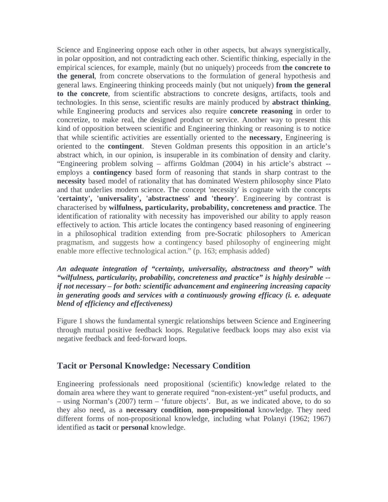Science and Engineering oppose each other in other aspects, but always synergistically, in polar opposition, and not contradicting each other. Scientific thinking, especially in the empirical sciences, for example, mainly (but no uniquely) proceeds from **the concrete to the general**, from concrete observations to the formulation of general hypothesis and general laws. Engineering thinking proceeds mainly (but not uniquely) **from the general to the concrete**, from scientific abstractions to concrete designs, artifacts, tools and technologies. In this sense, scientific results are mainly produced by **abstract thinking**, while Engineering products and services also require **concrete reasoning** in order to concretize, to make real, the designed product or service. Another way to present this kind of opposition between scientific and Engineering thinking or reasoning is to notice that while scientific activities are essentially oriented to the **necessary**, Engineering is oriented to the **contingent**. Steven Goldman presents this opposition in an article's abstract which, in our opinion, is insuperable in its combination of density and clarity. "Engineering problem solving – affirms Goldman (2004) in his article's abstract - employs a **contingency** based form of reasoning that stands in sharp contrast to the **necessity** based model of rationality that has dominated Western philosophy since Plato and that underlies modern science. The concept 'necessity' is cognate with the concepts **'certainty', 'universality', 'abstractness' and 'theory'**. Engineering by contrast is characterised by **wilfulness, particularity, probability, concreteness and practice**. The identification of rationality with necessity has impoverished our ability to apply reason effectively to action. This article locates the contingency based reasoning of engineering in a philosophical tradition extending from pre-Socratic philosophers to American pragmatism, and suggests how a contingency based philosophy of engineering might enable more effective technological action." (p. 163; emphasis added)

*An adequate integration of "certainty, universality, abstractness and theory" with "wilfulness, particularity, probability, concreteness and practice" is highly desirable - if not necessary – for both: scientific advancement and engineering increasing capacity in generating goods and services with a continuously growing efficacy (i. e. adequate blend of efficiency and effectiveness)* 

Figure 1 shows the fundamental synergic relationships between Science and Engineering through mutual positive feedback loops. Regulative feedback loops may also exist via negative feedback and feed-forward loops.

#### **Tacit or Personal Knowledge: Necessary Condition**

Engineering professionals need propositional (scientific) knowledge related to the domain area where they want to generate required "non-existent-yet" useful products, and – using Norman's (2007) term – 'future objects'. But, as we indicated above, to do so they also need, as a **necessary condition**, **non-propositional** knowledge. They need different forms of non-propositional knowledge, including what Polanyi (1962; 1967) identified as **tacit** or **personal** knowledge.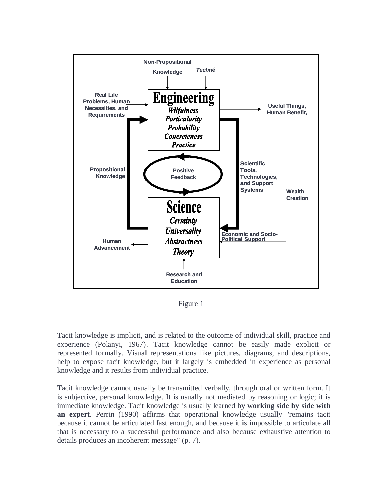

Figure 1

Tacit knowledge is implicit, and is related to the outcome of individual skill, practice and experience (Polanyi, 1967). Tacit knowledge cannot be easily made explicit or represented formally. Visual representations like pictures, diagrams, and descriptions, help to expose tacit knowledge, but it largely is embedded in experience as personal knowledge and it results from individual practice.

Tacit knowledge cannot usually be transmitted verbally, through oral or written form. It is subjective, personal knowledge. It is usually not mediated by reasoning or logic; it is immediate knowledge. Tacit knowledge is usually learned by **working side by side with an expert**. Perrin (1990) affirms that operational knowledge usually "remains tacit because it cannot be articulated fast enough, and because it is impossible to articulate all that is necessary to a successful performance and also because exhaustive attention to details produces an incoherent message" (p. 7).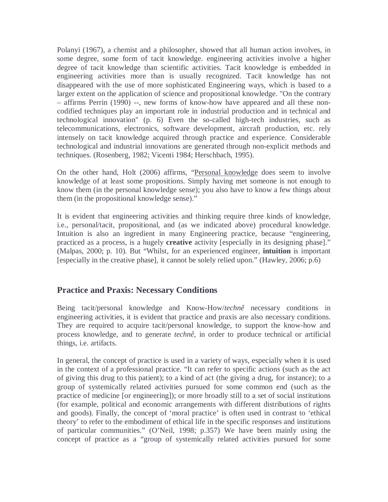Polanyi (1967), a chemist and a philosopher, showed that all human action involves, in some degree, some form of tacit knowledge. engineering activities involve a higher degree of tacit knowledge than scientific activities. Tacit knowledge is embedded in engineering activities more than is usually recognized. Tacit knowledge has not disappeared with the use of more sophisticated Engineering ways, which is based to a larger extent on the application of science and propositional knowledge. "On the contrary – affirms Perrin (1990) --, new forms of know-how have appeared and all these noncodified techniques play an important role in industrial production and in technical and technological innovation" (p. 6) Even the so-called high-tech industries, such as telecommunications, electronics, software development, aircraft production, etc. rely intensely on tacit knowledge acquired through practice and experience. Considerable technological and industrial innovations are generated through non-explicit methods and techniques. (Rosenberg, 1982; Vicenti 1984; Herschbach, 1995).

On the other hand, Holt (2006) affirms, "Personal knowledge does seem to involve knowledge of at least some propositions. Simply having met someone is not enough to know them (in the personal knowledge sense); you also have to know a few things about them (in the propositional knowledge sense)."

It is evident that engineering activities and thinking require three kinds of knowledge, i.e., personal/tacit, propositional, and (as we indicated above) procedural knowledge. Intuition is also an ingredient in many Engineering practice, because "engineering, practiced as a process, is a hugely **creative** activity [especially in its designing phase]." (Malpas, 2000; p. 10). But "Whilst, for an experienced engineer, **intuition** is important [especially in the creative phase], it cannot be solely relied upon." (Hawley, 2006; p.6)

## **Practice and Praxis: Necessary Conditions**

Being tacit/personal knowledge and Know-How/*technê* necessary conditions in engineering activities, it is evident that practice and praxis are also necessary conditions. They are required to acquire tacit/personal knowledge, to support the know-how and process knowledge, and to generate *technê*, in order to produce technical or artificial things, i.e. artifacts.

In general, the concept of practice is used in a variety of ways, especially when it is used in the context of a professional practice. "It can refer to specific actions (such as the act of giving this drug to this patient); to a kind of act (the giving a drug, for instance); to a group of systemically related activities pursued for some common end (such as the practice of medicine [or engineering]); or more broadly still to a set of social institutions (for example, political and economic arrangements with different distributions of rights and goods). Finally, the concept of 'moral practice' is often used in contrast to 'ethical theory' to refer to the embodiment of ethical life in the specific responses and institutions of particular communities." (O'Neil, 1998; p.357) We have been mainly using the concept of practice as a "group of systemically related activities pursued for some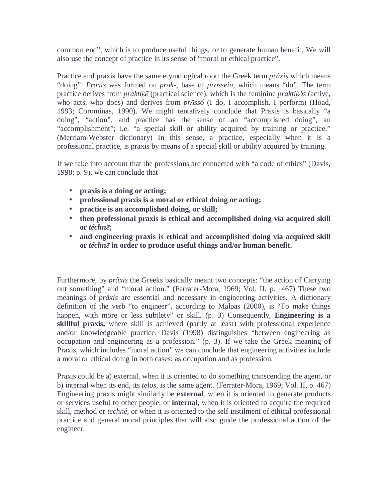common end", which is to produce useful things, or to generate human benefit. We will also use the concept of practice in its sense of "moral or ethical practice".

Practice and praxis have the same etymological root: the Greek term *prâxis* which means "doing". *Praxis* was formed on *pr*ā*k-*, base of *pr*ā*ssein,* which means "do". The term practice derives from *praktik*ē (practical science), which is the feminine *praktikós* (active, who acts, who does) and derives from *pr*ā*ssó* (I do, I accomplish, I perform) (Hoad, 1993; Corominas, 1990). We might tentatively conclude that Praxis is basically "a doing", "action", and practice has the sense of an "accomplished doing", an "accomplishment"; i.e. "a special skill or ability acquired by training or practice." (Merriam-Webster dictionary) In this sense, a practice, especially when it is a professional practice, is praxis by means of a special skill or ability acquired by training.

If we take into account that the professions are connected with "a code of ethics" (Davis, 1998; p. 9), we can conclude that

- **praxis is a doing or acting;**
- **professional praxis is a moral or ethical doing or acting;**
- **practice is an accomplished doing, or skill;**
- **then professional praxis is ethical and accomplished doing via acquired skill or** *téchn*ē**;**
- **and engineering praxis is ethical and accomplished doing via acquired skill or** *téchn*ē **in order to produce useful things and/or human benefit.**

Furthermore, by *prâxis* the Greeks basically meant two concepts: "the action of Carrying out something" and "moral action." (Ferrater-Mora, 1969; Vol. II, p. 467) These two meanings of *prâxis* are essential and necessary in engineering activities. A dictionary definition of the verb "to engineer", according to Malpas (2000), is "To make things happen, with more or less subtlety" or skill. (p. 3) Consequently, **Engineering is a skillful praxis,** where skill is achieved (partly at least) with professional experience and/or knowledgeable practice. Davis (1998) distinguishes "between engineering as occupation and engineering as a profession." (p. 3). If we take the Greek meaning of Praxis, which includes "moral action" we can conclude that engineering activities include a moral or ethical doing in both cases: as occupation and as profession.

Praxis could be a) external, when it is oriented to do something transcending the agent, or b) internal when its end, its *telos*, is the same agent. (Ferrater-Mora, 1969; Vol. II, p. 467) Engineering praxis might similarly be **external**, when it is oriented to generate products or services useful to other people, or **internal**, when it is oriented to acquire the required skill, method or *technê*, or when it is oriented to the self instilment of ethical professional practice and general moral principles that will also guide the professional action of the engineer.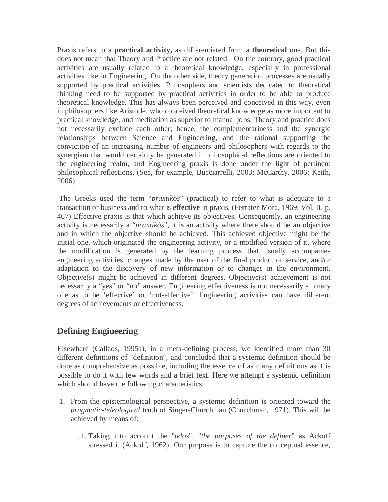Praxis refers to a **practical activity,** as differentiated from a **theoretical** one. But this does not mean that Theory and Practice are not related. On the contrary, good practical activities are usually related to a theoretical knowledge, especially in professional activities like in Engineering. On the other side, theory generation processes are usually supported by practical activities. Philosophers and scientists dedicated to theoretical thinking need to be supported by practical activities in order to be able to produce theoretical knowledge. This has always been perceived and conceived in this way, even in philosophers like Aristotle, who conceived theoretical knowledge as more important to practical knowledge, and meditation as superior to manual jobs. Theory and practice does not necessarily exclude each other; hence, the complementariness and the synergic relationships between Science and Engineering, and the rational supporting the conviction of an increasing number of engineers and philosophers with regards to the synergism that would certainly be generated if philosophical reflections are oriented to the engineering realm, and Engineering praxis is done under the light of pertinent philosophical reflections. (See, for example, Bucciarrelli, 2003; McCarthy, 2006; Keith, 2006)

 The Greeks used the term "*praxtikòs*" (practical) to refer to what is adequate to a transaction or business and to what is **effective** in praxis. (Ferrater-Mora, 1969; Vol. II, p. 467) Effective praxis is that which achieve its objectives. Consequently, an engineering activity is necessarily a "*praxtikòs*", it is an activity where there should be an objective and in which the objective should be achieved. This achieved objective might be the initial one, which originated the engineering activity, or a modified version of it, where the modification is generated by the learning process that usually accompanies engineering activities, changes made by the user of the final product or service, and/or adaptation to the discovery of new information or to changes in the environment. Objective(s) might be achieved in different degrees. Objective(s) achievement is not necessarily a "yes" or "no" answer. Engineering effectiveness is not necessarily a binary one as to be 'effective' or 'not-effective'. Engineering activities can have different degrees of achievements or effectiveness.

## **Defining Engineering**

Elsewhere (Callaos, 1995a), in a meta-defining process, we identified more than 30 different definitions of "definition", and concluded that a systemic definition should be done as comprehensive as possible, including the essence of as many definitions as it is possible to do it with few words and a brief text. Here we attempt a systemic definition which should have the following characteristics:

- 1. From the epistemological perspective, a systemic definition is oriented toward the *pragmatic-teleological* truth of Singer-Churchman (Churchman, 1971). This will be achieved by means of:
	- 1.1. Taking into account the "*telos*", "*the purposes of the definer*" as Ackoff stressed it (Ackoff, 1962). Our purpose is to capture the conceptual essence,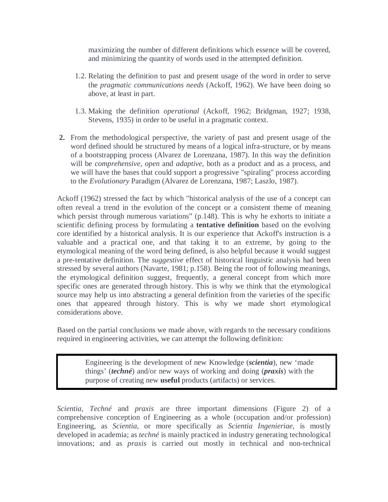maximizing the number of different definitions which essence will be covered, and minimizing the quantity of words used in the attempted definition.

- 1.2. Relating the definition to past and present usage of the word in order to serve the *pragmatic communications needs* (Ackoff, 1962). We have been doing so above, at least in part.
- 1.3. Making the definition *operational* (Ackoff, 1962; Bridgman, 1927; 1938, Stevens, 1935) in order to be useful in a pragmatic context.
- **2.** From the methodological perspective, the variety of past and present usage of the word defined should be structured by means of a logical infra-structure, or by means of a bootstrapping process (Alvarez de Lorenzana, 1987). In this way the definition will be *comprehensive, open* and *adaptive*, both as a product and as a process, and we will have the bases that could support a progressive "spiraling" process according to the *Evolutionary* Paradigm (Alvarez de Lorenzana, 1987; Laszlo, 1987).

Ackoff (1962) stressed the fact by which "historical analysis of the use of a concept can often reveal a trend in the evolution of the concept or a consistent theme of meaning which persist through numerous variations" (p.148). This is why he exhorts to initiate a scientific defining process by formulating a **tentative definition** based on the evolving core identified by a historical analysis. It is our experience that Ackoff's instruction is a valuable and a practical one, and that taking it to an extreme, by going to the etymological meaning of the word being defined, is also helpful because it would suggest a pre-tentative definition. The *suggestive* effect of historical linguistic analysis had been stressed by several authors (Navarte, 1981; p.158). Being the root of following meanings, the etymological definition suggest, frequently, a general concept from which more specific ones are generated through history. This is why we think that the etymological source may help us into abstracting a general definition from the varieties of the specific ones that appeared through history. This is why we made short etymological considerations above.

Based on the partial conclusions we made above, with regards to the necessary conditions required in engineering activities, we can attempt the following definition:

> Engineering is the development of new Knowledge (*scientia*), new 'made things' (*techné*) and/or new ways of working and doing (*praxis*) with the purpose of creating new **useful** products (artifacts) or services.

*Scientia*, *Techné* and *praxis* are three important dimensions (Figure 2) of a comprehensive conception of Engineering as a whole (occupation and/or profession) Engineering, as *Scientia*, or more specifically as *Scientia Ingenieriae*, is mostly developed in academia; as *techné* is mainly practiced in industry generating technological innovations; and as *praxis* is carried out mostly in technical and non-technical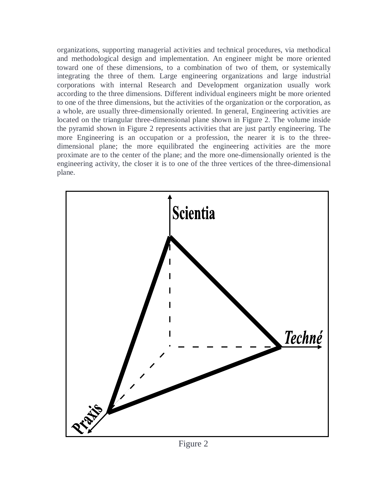organizations, supporting managerial activities and technical procedures, via methodical and methodological design and implementation. An engineer might be more oriented toward one of these dimensions, to a combination of two of them, or systemically integrating the three of them. Large engineering organizations and large industrial corporations with internal Research and Development organization usually work according to the three dimensions. Different individual engineers might be more oriented to one of the three dimensions, but the activities of the organization or the corporation, as a whole, are usually three-dimensionally oriented. In general, Engineering activities are located on the triangular three-dimensional plane shown in Figure 2. The volume inside the pyramid shown in Figure 2 represents activities that are just partly engineering. The more Engineering is an occupation or a profession, the nearer it is to the threedimensional plane; the more equilibrated the engineering activities are the more proximate are to the center of the plane; and the more one-dimensionally oriented is the engineering activity, the closer it is to one of the three vertices of the three-dimensional plane.



Figure 2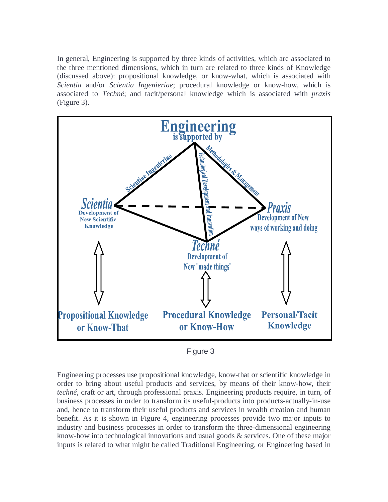In general, Engineering is supported by three kinds of activities, which are associated to the three mentioned dimensions, which in turn are related to three kinds of Knowledge (discussed above): propositional knowledge, or know-what, which is associated with *Scientia* and/or *Scientia Ingenieriae*; procedural knowledge or know-how, which is associated to *Techné*; and tacit/personal knowledge which is associated with *praxis*  (Figure 3).



Figure 3

Engineering processes use propositional knowledge, know-that or scientific knowledge in order to bring about useful products and services, by means of their know-how, their *techné*, craft or art, through professional praxis. Engineering products require, in turn, of business processes in order to transform its useful-products into products-actually-in-use and, hence to transform their useful products and services in wealth creation and human benefit. As it is shown in Figure 4, engineering processes provide two major inputs to industry and business processes in order to transform the three-dimensional engineering know-how into technological innovations and usual goods & services. One of these major inputs is related to what might be called Traditional Engineering, or Engineering based in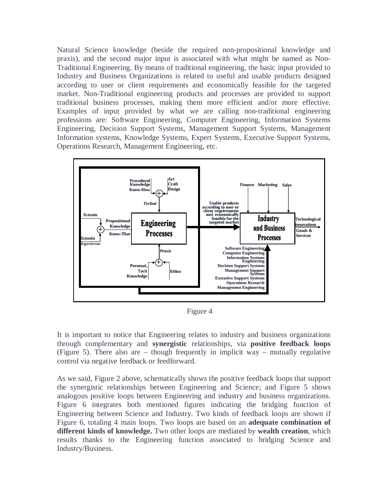Natural Science knowledge (beside the required non-propositional knowledge and praxis), and the second major input is associated with what might be named as Non-Traditional Engineering. By means of traditional engineering, the basic input provided to Industry and Business Organizations is related to useful and usable products designed according to user or client requirements and economically feasible for the targeted market. Non-Traditional engineering products and processes are provided to support traditional business processes, making them more efficient and/or more effective. Examples of input provided by what we are calling non-traditional engineering professions are: Software Engineering, Computer Engineering, Information Systems Engineering, Decision Support Systems, Management Support Systems, Management Information systems, Knowledge Systems, Expert Systems, Executive Support Systems, Operations Research, Management Engineering, etc.



Figure 4

It is important to notice that Engineering relates to industry and business organizations through complementary and **synergistic** relationships, via **positive feedback loops** (Figure 5). There also are – though frequently in implicit way – mutually regulative control via negative feedback or feedforward.

As we said, Figure 2 above, schematically shows the positive feedback loops that support the synergistic relationships between Engineering and Science; and Figure 5 shows analogous positive loops between Engineering and industry and business organizations. Figure 6 integrates both mentioned figures indicating the bridging function of Engineering between Science and Industry. Two kinds of feedback loops are shown if Figure 6, totaling 4 main loops. Two loops are based on an **adequate combination of different kinds of knowledge.** Two other loops are mediated by **wealth creation**, which results thanks to the Engineering function associated to bridging Science and Industry/Business.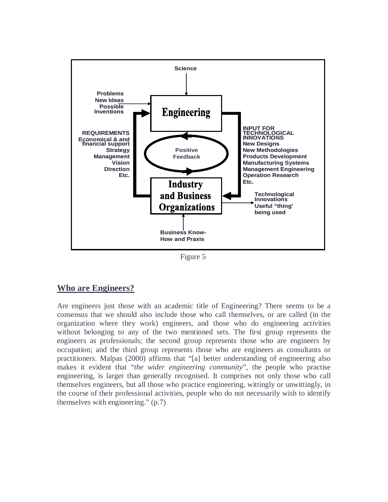

Figure 5

## **Who are Engineers?**

Are engineers just those with an academic title of Engineering? There seems to be a consensus that we should also include those who call themselves, or are called (in the organization where they work) engineers, and those who do engineering activities without belonging to any of the two mentioned sets. The first group represents the engineers as professionals; the second group represents those who are engineers by occupation; and the third group represents those who are engineers as consultants or practitioners. Malpas (2000) affirms that "[a] better understanding of engineering also makes it evident that "*the wider engineering community*", the people who practise engineering, is larger than generally recognised. It comprises not only those who call themselves engineers, but all those who practice engineering, wittingly or unwittingly, in the course of their professional activities, people who do not necessarily wish to identify themselves with engineering." (p.7)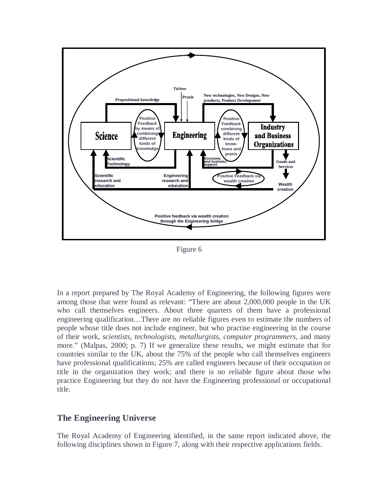

Figure 6

In a report prepared by The Royal Academy of Engineering, the following figures were among those that were found as relevant: "There are about 2,000,000 people in the UK who call themselves engineers. About three quarters of them have a professional engineering qualification…There are no reliable figures even to estimate the numbers of people whose title does not include engineer, but who practise engineering in the course of their work, *scientists, technologists, metallurgists, computer programmers*, and many more." (Malpas, 2000; p. 7) If we generalize these results, we might estimate that for countries similar to the UK, about the 75% of the people who call themselves engineers have professional qualifications; 25% are called engineers because of their occupation or title in the organization they work; and there is no reliable figure about those who practice Engineering but they do not have the Engineering professional or occupational title.

#### **The Engineering Universe**

The Royal Academy of Engineering identified, in the same report indicated above, the following disciplines shown in Figure 7, along with their respective applications fields.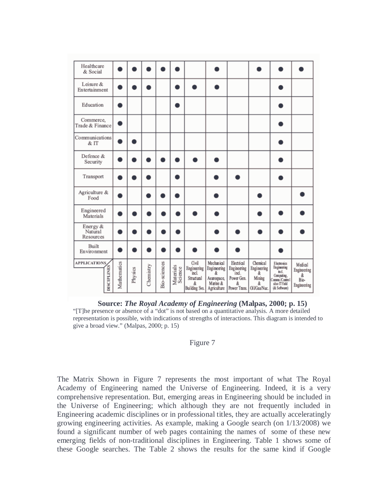| Healthcare<br>& Social             |             |         |           |              |                      |                                                                   |                                                                           |                                                                              |                                                              |                                                                                                   |                                                    |
|------------------------------------|-------------|---------|-----------|--------------|----------------------|-------------------------------------------------------------------|---------------------------------------------------------------------------|------------------------------------------------------------------------------|--------------------------------------------------------------|---------------------------------------------------------------------------------------------------|----------------------------------------------------|
| Leisure &<br>Entertainment         |             |         |           |              |                      |                                                                   |                                                                           |                                                                              |                                                              |                                                                                                   |                                                    |
| Education                          |             |         |           |              | n                    |                                                                   |                                                                           |                                                                              |                                                              |                                                                                                   |                                                    |
| Commerce,<br>Trade & Finance       |             |         |           |              |                      |                                                                   |                                                                           |                                                                              |                                                              |                                                                                                   |                                                    |
| Communications<br>& IT             | n           |         |           |              |                      |                                                                   |                                                                           |                                                                              |                                                              |                                                                                                   |                                                    |
| Defence &<br>Security              |             |         |           |              |                      |                                                                   |                                                                           |                                                                              |                                                              |                                                                                                   |                                                    |
| Transport                          | n           |         |           |              |                      |                                                                   |                                                                           |                                                                              |                                                              |                                                                                                   |                                                    |
| Agriculture &<br>Food              |             |         |           |              |                      |                                                                   |                                                                           |                                                                              |                                                              |                                                                                                   |                                                    |
| Engineered<br>Materials            |             |         |           |              |                      |                                                                   |                                                                           |                                                                              |                                                              |                                                                                                   |                                                    |
| Energy &<br>Natural<br>Resources   |             |         |           | n            |                      |                                                                   |                                                                           |                                                                              |                                                              |                                                                                                   |                                                    |
| Built<br>Environment               |             |         |           |              |                      |                                                                   |                                                                           |                                                                              |                                                              |                                                                                                   |                                                    |
| <b>APPLICATIONS</b><br>DISCIPLINES | Mathematics | Physics | Chemistry | Bio-sciences | Materials<br>Science | Civil<br>Engineering<br>incl.<br>Structural<br>k<br>Building Svs. | Mechanical<br>Engimeering<br>å.<br>Aearospace,<br>Marine &<br>Agriculture | Electrical<br><b>Engineering</b><br>'ind.<br>Power Gen.<br>å<br>Power Trans. | Chemical<br>Engineering<br>å.<br>Mining<br>å<br>Oil/Gas/Nuc. | Electronics<br>Engineering<br>nd<br>Computing,<br>Comms /Control<br>also IT field<br>(& Software) | Medical<br>Engineering<br>å<br>Bio-<br>Engineering |

**Source:** *The Royal Academy of Engineering* **(Malpas, 2000; p. 15)**  "[T]he presence or absence of a "dot" is not based on a quantitative analysis. A more detailed representation is possible, with indications of strengths of interactions. This diagram is intended to give a broad view." (Malpas, 2000; p. 15)

#### Figure 7

The Matrix Shown in Figure 7 represents the most important of what The Royal Academy of Engineering named the Universe of Engineering. Indeed, it is a very comprehensive representation. But, emerging areas in Engineering should be included in the Universe of Engineering; which although they are not frequently included in Engineering academic disciplines or in professional titles, they are actually acceleratingly growing engineering activities. As example, making a Google search (on 1/13/2008) we found a significant number of web pages containing the names of some of these new emerging fields of non-traditional disciplines in Engineering. Table 1 shows some of these Google searches. The Table 2 shows the results for the same kind if Google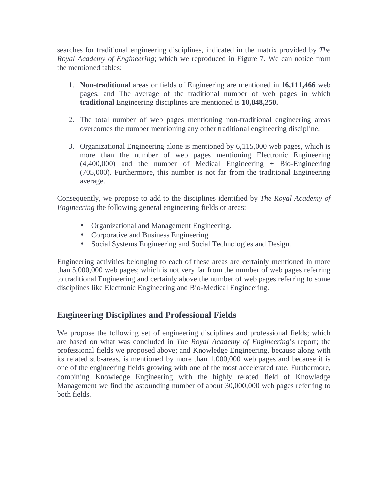searches for traditional engineering disciplines, indicated in the matrix provided by *The Royal Academy of Engineering*; which we reproduced in Figure 7. We can notice from the mentioned tables:

- 1. **Non-traditional** areas or fields of Engineering are mentioned in **16,111,466** web pages, and The average of the traditional number of web pages in which **traditional** Engineering disciplines are mentioned is **10,848,250.**
- 2. The total number of web pages mentioning non-traditional engineering areas overcomes the number mentioning any other traditional engineering discipline.
- 3. Organizational Engineering alone is mentioned by 6,115,000 web pages, which is more than the number of web pages mentioning Electronic Engineering  $(4,400,000)$  and the number of Medical Engineering + Bio-Engineering (705,000). Furthermore, this number is not far from the traditional Engineering average.

Consequently, we propose to add to the disciplines identified by *The Royal Academy of Engineering* the following general engineering fields or areas:

- Organizational and Management Engineering.
- Corporative and Business Engineering
- Social Systems Engineering and Social Technologies and Design.

Engineering activities belonging to each of these areas are certainly mentioned in more than 5,000,000 web pages; which is not very far from the number of web pages referring to traditional Engineering and certainly above the number of web pages referring to some disciplines like Electronic Engineering and Bio-Medical Engineering.

# **Engineering Disciplines and Professional Fields**

We propose the following set of engineering disciplines and professional fields; which are based on what was concluded in *The Royal Academy of Engineering*'s report; the professional fields we proposed above; and Knowledge Engineering, because along with its related sub-areas, is mentioned by more than 1,000,000 web pages and because it is one of the engineering fields growing with one of the most accelerated rate. Furthermore, combining Knowledge Engineering with the highly related field of Knowledge Management we find the astounding number of about 30,000,000 web pages referring to both fields.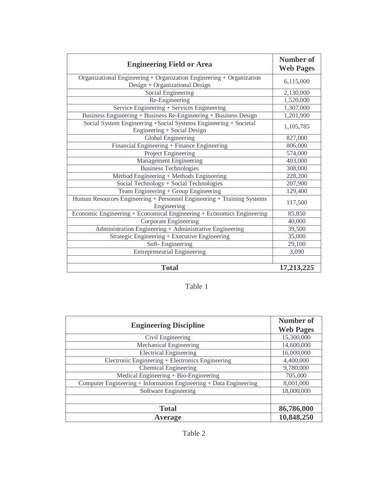| <b>Engineering Field or Area</b>                                                                       | <b>Number of</b><br><b>Web Pages</b> |
|--------------------------------------------------------------------------------------------------------|--------------------------------------|
| Organizational Engineering + Organization Engineering + Organization<br>Design + Organizational Design | 6,115,000                            |
| Social Engineering                                                                                     | 2,130,000                            |
| Re-Engineering                                                                                         | 1,520,000                            |
| Service Engineering + Services Engineering                                                             | 1,307,000                            |
| Business Engineering + Business Re-Engineering + Business Design                                       | 1,201,900                            |
| Social System Engineering + Social Systems Engineering + Societal<br>Engineering + Social Design       | 1,105,785                            |
| Global Engineering                                                                                     | 827,000                              |
| Financial Engineering + Finance Engineering                                                            | 806,000                              |
| Project Engineering                                                                                    | 574,000                              |
| Management Engineering                                                                                 | 403,000                              |
| <b>Business Technologies</b>                                                                           | 308,000                              |
| Method Engineering + Methods Engineering                                                               | 228,200                              |
| Social Technology + Social Technologies                                                                | 207,900                              |
| Team Engineering + Group Engineering                                                                   | 129,400                              |
| Human Resources Engineering + Personnel Engineering + Training Systems<br>Engineering                  | 117,500                              |
| Economic Engineering + Economical Engineering + Economics Engineering                                  | 85,850                               |
| Corporate Engineering                                                                                  | 40,000                               |
| Administration Engineering + Administrative Engineering                                                | 39,500                               |
| Strategic Engineering + Executive Engineering                                                          | 35,000                               |
| Soft-Engineering                                                                                       | 29,100                               |
| <b>Entrepreneurial Engineering</b>                                                                     | 3,090                                |
|                                                                                                        |                                      |
| <b>Total</b>                                                                                           | 17,213,225                           |

# Table 1

| <b>Engineering Discipline</b>                                     | <b>Number of</b> |
|-------------------------------------------------------------------|------------------|
|                                                                   | <b>Web Pages</b> |
| Civil Engineering                                                 | 15,300,000       |
| Mechanical Engineering                                            | 14,600,000       |
| <b>Electrical Engineering</b>                                     | 16,000,000       |
| Electronic Engineering + Electronics Engineering                  | 4,400,000        |
| Chemical Engineering                                              | 9,780,000        |
| Medical Engineering $+$ Bio-Engineering                           | 705,000          |
| Computer Engineering + Information Engineering + Data Engineering | 8,001,000        |
| Software Engineering                                              | 18,000,000       |
|                                                                   |                  |
| <b>Total</b>                                                      | 86,786,000       |
| <b>Average</b>                                                    | 10,848,250       |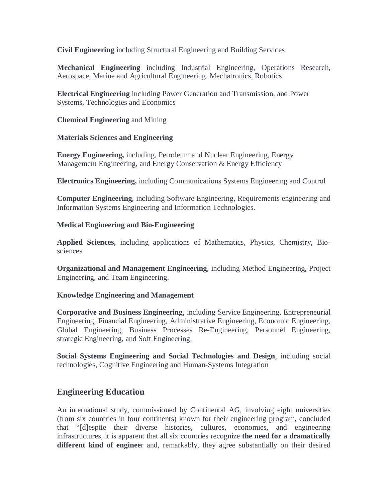**Civil Engineering** including Structural Engineering and Building Services

**Mechanical Engineering** including Industrial Engineering, Operations Research, Aerospace, Marine and Agricultural Engineering, Mechatronics, Robotics

**Electrical Engineering** including Power Generation and Transmission, and Power Systems, Technologies and Economics

**Chemical Engineering** and Mining

**Materials Sciences and Engineering**

**Energy Engineering,** including, Petroleum and Nuclear Engineering, Energy Management Engineering, and Energy Conservation & Energy Efficiency

**Electronics Engineering,** including Communications Systems Engineering and Control

**Computer Engineering**, including Software Engineering, Requirements engineering and Information Systems Engineering and Information Technologies.

#### **Medical Engineering and Bio-Engineering**

**Applied Sciences,** including applications of Mathematics, Physics, Chemistry, Biosciences

**Organizational and Management Engineering**, including Method Engineering, Project Engineering, and Team Engineering.

#### **Knowledge Engineering and Management**

**Corporative and Business Engineering**, including Service Engineering, Entrepreneurial Engineering, Financial Engineering, Administrative Engineering, Economic Engineering, Global Engineering, Business Processes Re-Engineering, Personnel Engineering, strategic Engineering, and Soft Engineering.

**Social Systems Engineering and Social Technologies and Design**, including social technologies, Cognitive Engineering and Human-Systems Integration

## **Engineering Education**

An international study, commissioned by Continental AG, involving eight universities (from six countries in four continents) known for their engineering program, concluded that "[d]espite their diverse histories, cultures, economies, and engineering infrastructures, it is apparent that all six countries recognize **the need for a dramatically different kind of enginee**r and, remarkably, they agree substantially on their desired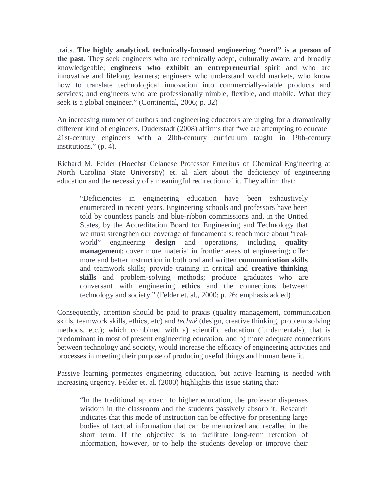traits. **The highly analytical, technically-focused engineering "nerd" is a person of the past**. They seek engineers who are technically adept, culturally aware, and broadly knowledgeable; **engineers who exhibit an entrepreneurial** spirit and who are innovative and lifelong learners; engineers who understand world markets, who know how to translate technological innovation into commercially-viable products and services; and engineers who are professionally nimble, flexible, and mobile. What they seek is a global engineer." (Continental, 2006; p. 32)

An increasing number of authors and engineering educators are urging for a dramatically different kind of engineers. Duderstadt (2008) affirms that "we are attempting to educate 21st-century engineers with a 20th-century curriculum taught in 19th-century institutions." (p. 4).

Richard M. Felder (Hoechst Celanese Professor Emeritus of Chemical Engineering at North Carolina State University) et. al. alert about the deficiency of engineering education and the necessity of a meaningful redirection of it. They affirm that:

"Deficiencies in engineering education have been exhaustively enumerated in recent years. Engineering schools and professors have been told by countless panels and blue-ribbon commissions and, in the United States, by the Accreditation Board for Engineering and Technology that we must strengthen our coverage of fundamentals; teach more about "realworld" engineering **design** and operations, including **quality management**; cover more material in frontier areas of engineering; offer more and better instruction in both oral and written **communication skills** and teamwork skills; provide training in critical and **creative thinking**  skills and problem-solving methods; produce graduates who are conversant with engineering **ethics** and the connections between technology and society." (Felder et. al., 2000; p. 26; emphasis added)

Consequently, attention should be paid to praxis (quality management, communication skills, teamwork skills, ethics, etc) and *techné* (design, creative thinking, problem solving methods, etc.); which combined with a) scientific education (fundamentals), that is predominant in most of present engineering education, and b) more adequate connections between technology and society, would increase the efficacy of engineering activities and processes in meeting their purpose of producing useful things and human benefit.

Passive learning permeates engineering education, but active learning is needed with increasing urgency. Felder et. al. (2000) highlights this issue stating that:

"In the traditional approach to higher education, the professor dispenses wisdom in the classroom and the students passively absorb it. Research indicates that this mode of instruction can be effective for presenting large bodies of factual information that can be memorized and recalled in the short term. If the objective is to facilitate long-term retention of information, however, or to help the students develop or improve their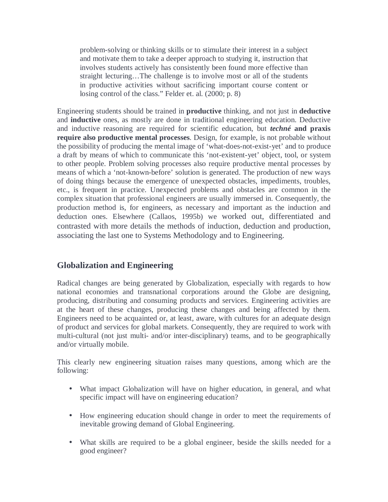problem-solving or thinking skills or to stimulate their interest in a subject and motivate them to take a deeper approach to studying it, instruction that involves students actively has consistently been found more effective than straight lecturing…The challenge is to involve most or all of the students in productive activities without sacrificing important course content or losing control of the class." Felder et. al. (2000; p. 8)

Engineering students should be trained in **productive** thinking, and not just in **deductive** and **inductive** ones, as mostly are done in traditional engineering education. Deductive and inductive reasoning are required for scientific education, but *techné* **and praxis require also productive mental processes**. Design, for example, is not probable without the possibility of producing the mental image of 'what-does-not-exist-yet' and to produce a draft by means of which to communicate this 'not-existent-yet' object, tool, or system to other people. Problem solving processes also require productive mental processes by means of which a 'not-known-before' solution is generated. The production of new ways of doing things because the emergence of unexpected obstacles, impediments, troubles, etc., is frequent in practice. Unexpected problems and obstacles are common in the complex situation that professional engineers are usually immersed in. Consequently, the production method is, for engineers, as necessary and important as the induction and deduction ones. Elsewhere (Callaos, 1995b) we worked out, differentiated and contrasted with more details the methods of induction, deduction and production, associating the last one to Systems Methodology and to Engineering.

# **Globalization and Engineering**

Radical changes are being generated by Globalization, especially with regards to how national economies and transnational corporations around the Globe are designing, producing, distributing and consuming products and services. Engineering activities are at the heart of these changes, producing these changes and being affected by them. Engineers need to be acquainted or, at least, aware, with cultures for an adequate design of product and services for global markets. Consequently, they are required to work with multi-cultural (not just multi- and/or inter-disciplinary) teams, and to be geographically and/or virtually mobile.

This clearly new engineering situation raises many questions, among which are the following:

- What impact Globalization will have on higher education, in general, and what specific impact will have on engineering education?
- How engineering education should change in order to meet the requirements of inevitable growing demand of Global Engineering.
- What skills are required to be a global engineer, beside the skills needed for a good engineer?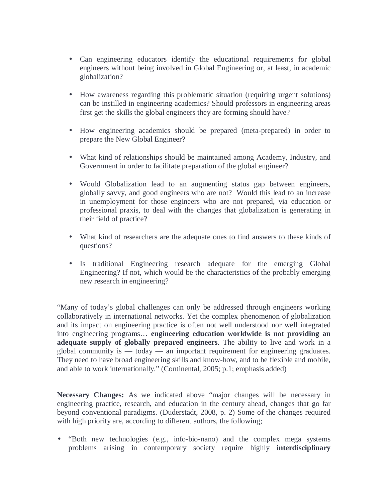- Can engineering educators identify the educational requirements for global engineers without being involved in Global Engineering or, at least, in academic globalization?
- How awareness regarding this problematic situation (requiring urgent solutions) can be instilled in engineering academics? Should professors in engineering areas first get the skills the global engineers they are forming should have?
- How engineering academics should be prepared (meta-prepared) in order to prepare the New Global Engineer?
- What kind of relationships should be maintained among Academy, Industry, and Government in order to facilitate preparation of the global engineer?
- Would Globalization lead to an augmenting status gap between engineers, globally savvy, and good engineers who are not? Would this lead to an increase in unemployment for those engineers who are not prepared, via education or professional praxis, to deal with the changes that globalization is generating in their field of practice?
- What kind of researchers are the adequate ones to find answers to these kinds of questions?
- Is traditional Engineering research adequate for the emerging Global Engineering? If not, which would be the characteristics of the probably emerging new research in engineering?

"Many of today's global challenges can only be addressed through engineers working collaboratively in international networks. Yet the complex phenomenon of globalization and its impact on engineering practice is often not well understood nor well integrated into engineering programs… **engineering education worldwide is not providing an adequate supply of globally prepared engineers**. The ability to live and work in a global community is  $-$  today  $-$  an important requirement for engineering graduates. They need to have broad engineering skills and know-how, and to be flexible and mobile, and able to work internationally." (Continental, 2005; p.1; emphasis added)

**Necessary Changes:** As we indicated above "major changes will be necessary in engineering practice, research, and education in the century ahead, changes that go far beyond conventional paradigms. (Duderstadt, 2008, p. 2) Some of the changes required with high priority are, according to different authors, the following;

• "Both new technologies (e.g., info-bio-nano) and the complex mega systems problems arising in contemporary society require highly **interdisciplinary**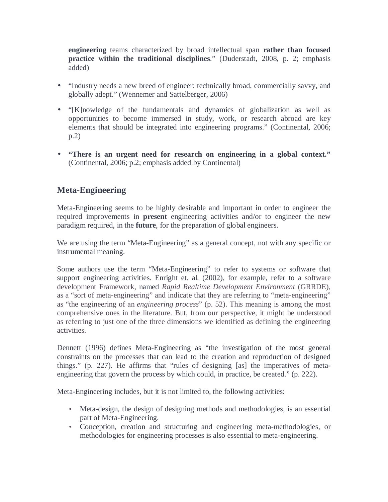**engineering** teams characterized by broad intellectual span **rather than focused practice within the traditional disciplines**." (Duderstadt, 2008, p. 2; emphasis added)

- "Industry needs a new breed of engineer: technically broad, commercially savvy, and globally adept." (Wennemer and Sattelberger, 2006)
- "[K]nowledge of the fundamentals and dynamics of globalization as well as opportunities to become immersed in study, work, or research abroad are key elements that should be integrated into engineering programs." (Continental, 2006; p.2)
- **"There is an urgent need for research on engineering in a global context."**  (Continental, 2006; p.2; emphasis added by Continental)

# **Meta-Engineering**

Meta-Engineering seems to be highly desirable and important in order to engineer the required improvements in **present** engineering activities and/or to engineer the new paradigm required, in the **future**, for the preparation of global engineers.

We are using the term "Meta-Engineering" as a general concept, not with any specific or instrumental meaning.

Some authors use the term "Meta-Engineering" to refer to systems or software that support engineering activities. Enright et. al. (2002), for example, refer to a software development Framework, named *Rapid Realtime Development Environment* (GRRDE), as a "sort of meta-engineering" and indicate that they are referring to "meta-engineering" as "the engineering of an *engineering process*" (p. 52). This meaning is among the most comprehensive ones in the literature. But, from our perspective, it might be understood as referring to just one of the three dimensions we identified as defining the engineering activities.

Dennett (1996) defines Meta-Engineering as "the investigation of the most general constraints on the processes that can lead to the creation and reproduction of designed things." (p. 227). He affirms that "rules of designing [as] the imperatives of metaengineering that govern the process by which could, in practice, be created." (p. 222).

Meta-Engineering includes, but it is not limited to, the following activities:

- Meta-design, the design of designing methods and methodologies, is an essential part of Meta-Engineering.
- Conception, creation and structuring and engineering meta-methodologies, or methodologies for engineering processes is also essential to meta-engineering.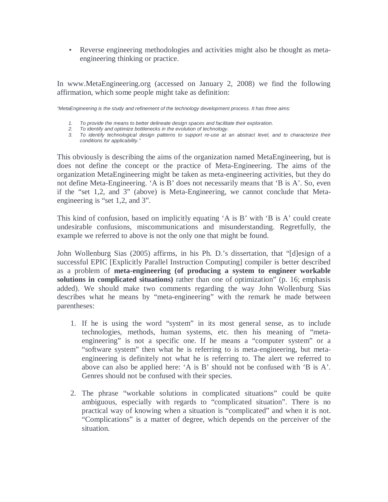• Reverse engineering methodologies and activities might also be thought as metaengineering thinking or practice.

In www.MetaEngineering.org (accessed on January 2, 2008) we find the following affirmation, which some people might take as definition:

"MetaEngineering is the study and refinement of the technology development process. It has three aims:

- 1. To provide the means to better delineate design spaces and facilitate their exploration.
- 2. To identify and optimize bottlenecks in the evolution of technology.
- 3. To identify technological design patterns to support re-use at an abstract level, and to characterize their conditions for applicability."

This obviously is describing the aims of the organization named MetaEngineering, but is does not define the concept or the practice of Meta-Engineering. The aims of the organization MetaEngineering might be taken as meta-engineering activities, but they do not define Meta-Engineering. 'A is B' does not necessarily means that 'B is A'. So, even if the "set 1,2, and 3" (above) is Meta-Engineering, we cannot conclude that Metaengineering is "set 1,2, and 3".

This kind of confusion, based on implicitly equating 'A is B' with 'B is A' could create undesirable confusions, miscommunications and misunderstanding. Regretfully, the example we referred to above is not the only one that might be found.

John Wollenburg Sias (2005) affirms, in his Ph. D.'s dissertation, that "[d]esign of a successful EPIC [Explicitly Parallel Instruction Computing] compiler is better described as a problem of **meta-engineering (of producing a system to engineer workable solutions in complicated situations)** rather than one of optimization" (p. 16; emphasis added). We should make two comments regarding the way John Wollenburg Sias describes what he means by "meta-engineering" with the remark he made between parentheses:

- 1. If he is using the word "system" in its most general sense, as to include technologies, methods, human systems, etc. then his meaning of "metaengineering" is not a specific one. If he means a "computer system" or a "software system" then what he is referring to is meta-engineering, but metaengineering is definitely not what he is referring to. The alert we referred to above can also be applied here: 'A is B' should not be confused with 'B is A'. Genres should not be confused with their species.
- 2. The phrase "workable solutions in complicated situations" could be quite ambiguous, especially with regards to "complicated situation". There is no practical way of knowing when a situation is "complicated" and when it is not. "Complications" is a matter of degree, which depends on the perceiver of the situation.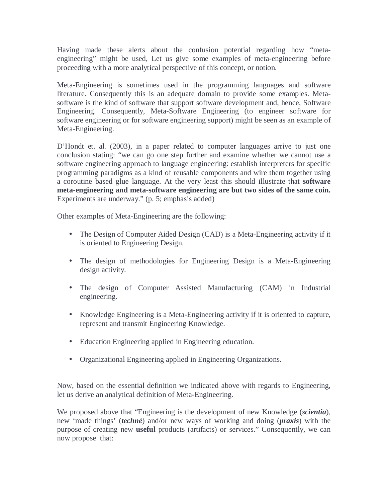Having made these alerts about the confusion potential regarding how "metaengineering" might be used, Let us give some examples of meta-engineering before proceeding with a more analytical perspective of this concept, or notion.

Meta-Engineering is sometimes used in the programming languages and software literature. Consequently this is an adequate domain to provide some examples. Metasoftware is the kind of software that support software development and, hence, Software Engineering. Consequently, Meta-Software Engineering (to engineer software for software engineering or for software engineering support) might be seen as an example of Meta-Engineering.

D'Hondt et. al. (2003), in a paper related to computer languages arrive to just one conclusion stating: "we can go one step further and examine whether we cannot use a software engineering approach to language engineering: establish interpreters for specific programming paradigms as a kind of reusable components and wire them together using a coroutine based glue language. At the very least this should illustrate that **software meta-engineering and meta-software engineering are but two sides of the same coin.** Experiments are underway." (p. 5; emphasis added)

Other examples of Meta-Engineering are the following:

- The Design of Computer Aided Design (CAD) is a Meta-Engineering activity if it is oriented to Engineering Design.
- The design of methodologies for Engineering Design is a Meta-Engineering design activity.
- The design of Computer Assisted Manufacturing (CAM) in Industrial engineering.
- Knowledge Engineering is a Meta-Engineering activity if it is oriented to capture, represent and transmit Engineering Knowledge.
- Education Engineering applied in Engineering education.
- Organizational Engineering applied in Engineering Organizations.

Now, based on the essential definition we indicated above with regards to Engineering, let us derive an analytical definition of Meta-Engineering.

We proposed above that "Engineering is the development of new Knowledge (*scientia*), new 'made things' (*techné*) and/or new ways of working and doing (*praxis*) with the purpose of creating new **useful** products (artifacts) or services." Consequently, we can now propose that: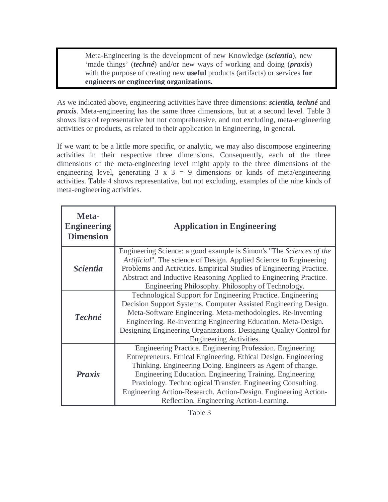Meta-Engineering is the development of new Knowledge (*scientia*), new 'made things' (*techné*) and/or new ways of working and doing (*praxis*) with the purpose of creating new **useful** products (artifacts) or services **for engineers or engineering organizations.**

As we indicated above, engineering activities have three dimensions: *scientia, techné* and *praxis*. Meta-engineering has the same three dimensions, but at a second level. Table 3 shows lists of representative but not comprehensive, and not excluding, meta-engineering activities or products, as related to their application in Engineering, in general.

If we want to be a little more specific, or analytic, we may also discompose engineering activities in their respective three dimensions. Consequently, each of the three dimensions of the meta-engineering level might apply to the three dimensions of the engineering level, generating  $3 \times 3 = 9$  dimensions or kinds of meta/engineering activities. Table 4 shows representative, but not excluding, examples of the nine kinds of meta-engineering activities.

| Meta-<br><b>Engineering</b><br><b>Dimension</b> | <b>Application in Engineering</b>                                                                                                                                                                                                                                                                                                                                                                                                    |  |  |  |
|-------------------------------------------------|--------------------------------------------------------------------------------------------------------------------------------------------------------------------------------------------------------------------------------------------------------------------------------------------------------------------------------------------------------------------------------------------------------------------------------------|--|--|--|
| <i><u><b>Scientia</b></u></i>                   | Engineering Science: a good example is Simon's "The Sciences of the<br>Artificial". The science of Design. Applied Science to Engineering<br>Problems and Activities. Empirical Studies of Engineering Practice.<br>Abstract and Inductive Reasoning Applied to Engineering Practice.<br>Engineering Philosophy. Philosophy of Technology.                                                                                           |  |  |  |
| <b>Techné</b>                                   | Technological Support for Engineering Practice. Engineering<br>Decision Support Systems. Computer Assisted Engineering Design.<br>Meta-Software Engineering. Meta-methodologies. Re-inventing<br>Engineering. Re-inventing Engineering Education. Meta-Design.<br>Designing Engineering Organizations. Designing Quality Control for<br>Engineering Activities.                                                                      |  |  |  |
| <b>Praxis</b>                                   | Engineering Practice. Engineering Profession. Engineering<br>Entrepreneurs. Ethical Engineering. Ethical Design. Engineering<br>Thinking. Engineering Doing. Engineers as Agent of change.<br>Engineering Education. Engineering Training. Engineering<br>Praxiology. Technological Transfer. Engineering Consulting.<br>Engineering Action-Research. Action-Design. Engineering Action-<br>Reflection. Engineering Action-Learning. |  |  |  |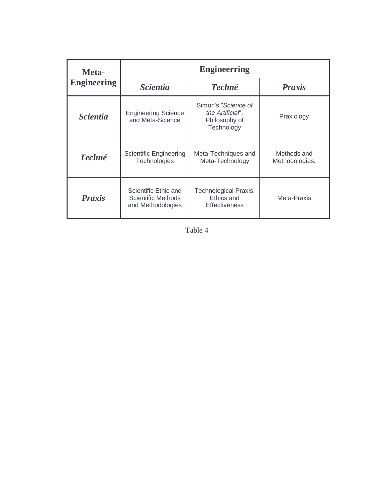| Meta-                         | <b>Engineerring</b>                                             |                                                                        |                               |  |  |  |  |  |
|-------------------------------|-----------------------------------------------------------------|------------------------------------------------------------------------|-------------------------------|--|--|--|--|--|
| <b>Engineering</b>            | <b>Scientia</b>                                                 | <b>Techné</b>                                                          | <b>Praxis</b>                 |  |  |  |  |  |
| <i><u><b>Scientia</b></u></i> | <b>Engineering Science</b><br>and Meta-Science                  | Simon's "Science of<br>the Artificial".<br>Philosophy of<br>Technology | Praxiology                    |  |  |  |  |  |
| <b>Techné</b>                 | <b>Scientific Engineering</b><br>Technologies                   | Meta-Techniques and<br>Meta-Technology                                 | Methods and<br>Methodologies. |  |  |  |  |  |
| <b>Praxis</b>                 | Scientific Ethic and<br>Scientific Methods<br>and Methodologies | Technological Praxis,<br>Ethics and<br><b>Effectiveness</b>            | Meta-Praxis                   |  |  |  |  |  |

Table 4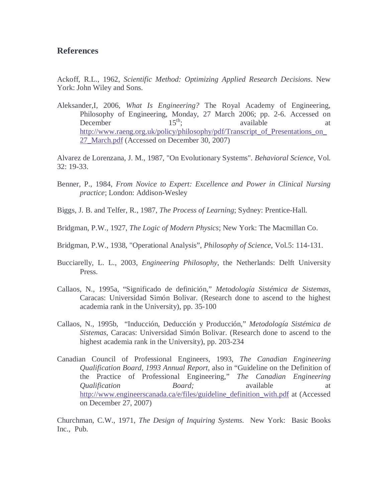#### **References**

Ackoff, R.L., 1962, *Scientific Method: Optimizing Applied Research Decisions*. New York: John Wiley and Sons.

Aleksander,I, 2006, *What Is Engineering?* The Royal Academy of Engineering, Philosophy of Engineering, Monday, 27 March 2006; pp. 2-6. Accessed on December 15<sup>th</sup>; available at December  $15<sup>th</sup>$ ; available at http://www.raeng.org.uk/policy/philosophy/pdf/Transcript\_of\_Presentations\_on 27\_March.pdf (Accessed on December 30, 2007)

Alvarez de Lorenzana, J. M., 1987, "On Evolutionary Systems". *Behavioral Science*, Vol. 32: 19-33.

- Benner, P., 1984, *From Novice to Expert: Excellence and Power in Clinical Nursing practice*; London: Addison-Wesley
- Biggs, J. B. and Telfer, R., 1987, *The Process of Learning*; Sydney: Prentice-Hall.
- Bridgman, P.W., 1927, *The Logic of Modern Physics*; New York: The Macmillan Co.
- Bridgman, P.W., 1938, "Operational Analysis", *Philosophy of Science*, Vol.5: 114-131.
- Bucciarelly, L. L., 2003, *Engineering Philosophy*, the Netherlands: Delft University Press.
- Callaos, N., 1995a, "Significado de definición," *Metodología Sistémica de Sistemas*, Caracas: Universidad Simón Bolivar. (Research done to ascend to the highest academia rank in the University), pp. 35-100
- Callaos, N., 1995b, "Inducción, Deducción y Producción," *Metodología Sistémica de Sistemas*, Caracas: Universidad Simón Bolivar. (Research done to ascend to the highest academia rank in the University), pp. 203-234
- Canadian Council of Professional Engineers, 1993, *The Canadian Engineering Qualification Board, 1993 Annual Report*, also in "Guideline on the Definition of the Practice of Professional Engineering," *The Canadian Engineering Qualification Board;* available at http://www.engineerscanada.ca/e/files/guideline\_definition\_with.pdf at (Accessed on December 27, 2007)

Churchman, C.W., 1971, *The Design of Inquiring Systems*. New York: Basic Books Inc., Pub.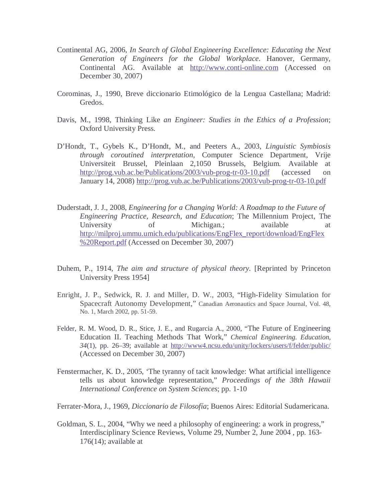- Continental AG, 2006, *In Search of Global Engineering Excellence: Educating the Next Generation of Engineers for the Global Workplace*. Hanover, Germany, Continental AG. Available at http://www.conti-online.com (Accessed on December 30, 2007)
- Corominas, J., 1990, Breve diccionario Etimológico de la Lengua Castellana; Madrid: Gredos.
- Davis, M., 1998, Thinking Like *an Engineer: Studies in the Ethics of a Profession*; Oxford University Press.
- D'Hondt, T., Gybels K., D'Hondt, M., and Peeters A., 2003, *Linguistic Symbiosis through coroutined interpretation,* Computer Science Department, Vrije Universiteit Brussel, Pleinlaan 2,1050 Brussels, Belgium. Available at http://prog.vub.ac.be/Publications/2003/vub-prog-tr-03-10.pdf (accessed on January 14, 2008) http://prog.vub.ac.be/Publications/2003/vub-prog-tr-03-10.pdf
- Duderstadt, J. J., 2008, *Engineering for a Changing World: A Roadmap to the Future of Engineering Practice, Research, and Education*; The Millennium Project, The University of Michigan.; available at the available at the set of  $\alpha$ http://milproj.ummu.umich.edu/publications/EngFlex\_report/download/EngFlex %20Report.pdf (Accessed on December 30, 2007)
- Duhem, P., 1914, *The aim and structure of physical theory.* [Reprinted by Princeton University Press 1954]
- Enright, J. P., Sedwick, R. J. and Miller, D. W., 2003, "High-Fidelity Simulation for Spacecraft Autonomy Development," Canadian Aeronautics and Space Journal, Vol. 48, No. 1, March 2002, pp. 51-59.
- Felder, R. M. Wood, D. R., Stice, J. E., and Rugarcia A., 2000, "The Future of Engineering Education II. Teaching Methods That Work," *Chemical Engineering. Education, 34*(1), pp. 26–39; available at http://www4.ncsu.edu/unity/lockers/users/f/felder/public/ (Accessed on December 30, 2007)
- Fenstermacher, K. D., 2005, 'The tyranny of tacit knowledge: What artificial intelligence tells us about knowledge representation," *Proceedings of the 38th Hawaii International Conference on System Sciences*; pp. 1-10
- Ferrater-Mora, J., 1969, *Diccionario de Filosofía*; Buenos Aires: Editorial Sudamericana.
- Goldman, S. L., 2004, "Why we need a philosophy of engineering: a work in progress," Interdisciplinary Science Reviews, Volume 29, Number 2, June 2004 , pp. 163-  $176(14)$ ; available at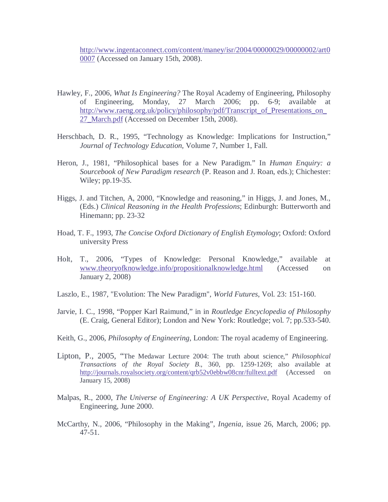http://www.ingentaconnect.com/content/maney/isr/2004/00000029/00000002/art0 0007 (Accessed on January 15th, 2008).

- Hawley, F., 2006, *What Is Engineering?* The Royal Academy of Engineering, Philosophy of Engineering, Monday, 27 March 2006; pp. 6-9; available at http://www.raeng.org.uk/policy/philosophy/pdf/Transcript\_of\_Presentations\_on\_ 27\_March.pdf (Accessed on December 15th, 2008).
- Herschbach, D. R., 1995, "Technology as Knowledge: Implications for Instruction," *Journal of Technology Education,* Volume 7, Number 1, Fall.
- Heron, J., 1981, "Philosophical bases for a New Paradigm." In *Human Enquiry: a Sourcebook of New Paradigm research* (P. Reason and J. Roan, eds.); Chichester: Wiley; pp.19-35.
- Higgs, J. and Titchen, A, 2000, "Knowledge and reasoning," in Higgs, J. and Jones, M., (Eds.) *Clinical Reasoning in the Health Professions*; Edinburgh: Butterworth and Hinemann; pp. 23-32
- Hoad, T. F., 1993, *The Concise Oxford Dictionary of English Etymology*; Oxford: Oxford university Press
- Holt, T., 2006, "Types of Knowledge: Personal Knowledge," available at www.theoryofknowledge.info/propositionalknowledge.html (Accessed on January 2, 2008)
- Laszlo, E., 1987, "Evolution: The New Paradigm", *World Futures*, Vol. 23: 151-160.
- Jarvie, I. C., 1998, "Popper Karl Raimund," in in *Routledge Encyclopedia of Philosophy* (E. Craig, General Editor); London and New York: Routledge; vol. 7; pp.533-540.
- Keith, G., 2006, *Philosophy of Engineering*, London: The royal academy of Engineering.
- Lipton, P., 2005, "The Medawar Lecture 2004: The truth about science," *Philosophical Transactions of the Royal Society B*., 360, pp. 1259-1269; also available at http://journals.royalsociety.org/content/qrb52v0ebbw08cnr/fulltext.pdf (Accessed on January 15, 2008)
- Malpas, R., 2000, *The Universe of Engineering: A UK Perspective*, Royal Academy of Engineering, June 2000.
- McCarthy, N., 2006, "Philosophy in the Making", *Ingenia*, issue 26, March, 2006; pp. 47-51.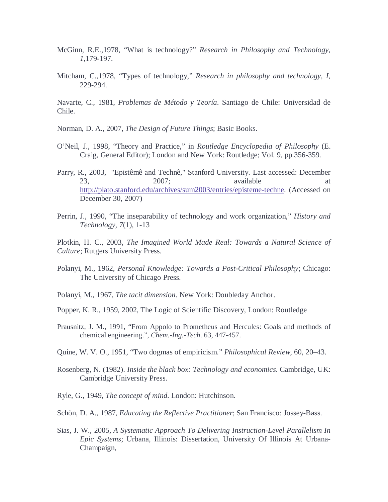- McGinn, R.E.,1978, "What is technology?" *Research in Philosophy and Technology, 1*,179-197.
- Mitcham, C.,1978, "Types of technology," *Research in philosophy and technology, I*, 229-294.

Navarte, C., 1981, *Problemas de Método y Teoría*. Santiago de Chile: Universidad de Chile.

- Norman, D. A., 2007, *The Design of Future Things*; Basic Books.
- O'Neil, J., 1998, "Theory and Practice," in *Routledge Encyclopedia of Philosophy* (E. Craig, General Editor); London and New York: Routledge; Vol. 9, pp.356-359.
- Parry, R., 2003, "Epistêmê and Technê," Stanford University. Last accessed: December 23, 2007; available at http://plato.stanford.edu/archives/sum2003/entries/episteme-techne. (Accessed on December 30, 2007)
- Perrin, J., 1990, "The inseparability of technology and work organization," *History and Technology, 7*(1), 1-13

Plotkin, H. C., 2003, *The Imagined World Made Real: Towards a Natural Science of Culture*; Rutgers University Press.

- Polanyi, M., 1962, *Personal Knowledge: Towards a Post-Critical Philosophy*; Chicago: The University of Chicago Press.
- Polanyi, M., 1967, *The tacit dimension*. New York: Doubleday Anchor.
- Popper, K. R., 1959, 2002, The Logic of Scientific Discovery, London: Routledge
- Prausnitz, J. M., 1991, "From Appolo to Prometheus and Hercules: Goals and methods of chemical engineering.", *Chem.-Ing.-Tech*. 63, 447-457.
- Quine, W. V. O., 1951, "Two dogmas of empiricism." *Philosophical Review*, 60, 20–43.
- Rosenberg, N. (1982). *Inside the black box: Technology and economics*. Cambridge, UK: Cambridge University Press.
- Ryle, G., 1949, *The concept of mind*. London: Hutchinson.
- Schön, D. A., 1987, *Educating the Reflective Practitioner*; San Francisco: Jossey-Bass.
- Sias, J. W., 2005, *A Systematic Approach To Delivering Instruction-Level Parallelism In Epic Systems*; Urbana, Illinois: Dissertation, University Of Illinois At Urbana-Champaign,